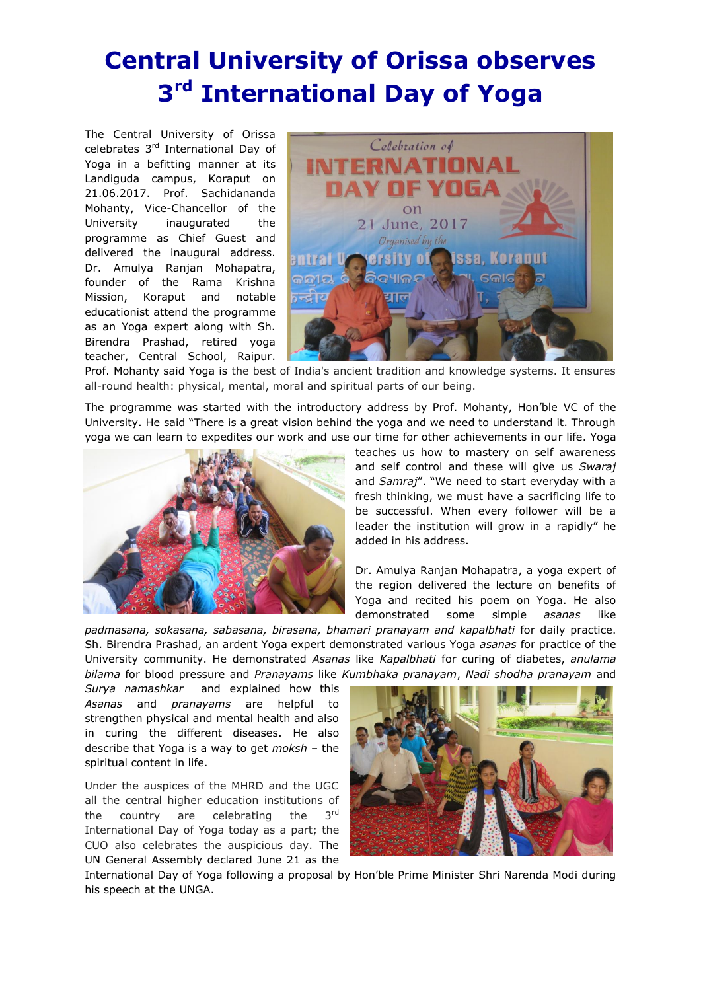## **Central University of Orissa observes 3 rd International Day of Yoga**

The Central University of Orissa celebrates 3rd International Day of Yoga in a befitting manner at its Landiguda campus, Koraput on 21.06.2017. Prof. Sachidananda Mohanty, Vice-Chancellor of the University inaugurated the programme as Chief Guest and delivered the inaugural address. Dr. Amulya Ranjan Mohapatra, founder of the Rama Krishna Mission, Koraput and notable educationist attend the programme as an Yoga expert along with Sh. Birendra Prashad, retired yoga teacher, Central School, Raipur.



Prof. Mohanty said Yoga is the best of India's ancient tradition and knowledge systems. It ensures all-round health: physical, mental, moral and spiritual parts of our being.

The programme was started with the introductory address by Prof. Mohanty, Hon'ble VC of the University. He said "There is a great vision behind the yoga and we need to understand it. Through yoga we can learn to expedites our work and use our time for other achievements in our life. Yoga



teaches us how to mastery on self awareness and self control and these will give us *Swaraj* and *Samraj*". "We need to start everyday with a fresh thinking, we must have a sacrificing life to be successful. When every follower will be a leader the institution will grow in a rapidly" he added in his address.

Dr. Amulya Ranjan Mohapatra, a yoga expert of the region delivered the lecture on benefits of Yoga and recited his poem on Yoga. He also demonstrated some simple *asanas* like

*padmasana, sokasana, sabasana, birasana, bhamari pranayam and kapalbhati* for daily practice. Sh. Birendra Prashad, an ardent Yoga expert demonstrated various Yoga *asanas* for practice of the University community. He demonstrated *Asanas* like *Kapalbhati* for curing of diabetes, *anulama bilama* for blood pressure and *Pranayams* like *Kumbhaka pranayam*, *Nadi shodha pranayam* and

*Surya namashkar* and explained how this *Asanas* and *pranayams* are helpful to strengthen physical and mental health and also in curing the different diseases. He also describe that Yoga is a way to get *moksh –* the spiritual content in life.

Under the auspices of the MHRD and the UGC all the central higher education institutions of the country are celebrating the 3rd International Day of Yoga today as a part; the CUO also celebrates the auspicious day. The UN General Assembly declared June 21 as the



International Day of Yoga following a proposal by Hon'ble Prime Minister Shri Narenda Modi during his speech at the UNGA.